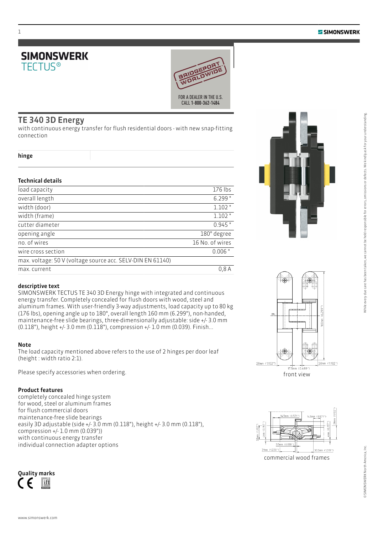



### TE 340 3D Energy

with continuous energy transfer for flush residential doors - with new snap-fitting connection

| nıne |  |
|------|--|
|------|--|

### Technical details

| load capacity                                              | 176 lbs         |
|------------------------------------------------------------|-----------------|
| overall length                                             | 6.299"          |
| width (door)                                               | $1.102$ "       |
| width (frame)                                              | $1.102$ "       |
| cutter diameter                                            | $0.945$ "       |
| opening angle                                              | 180° degree     |
| no. of wires                                               | 16 No. of wires |
| wire cross section                                         | $0.006$ "       |
| max. voltage: 50 V (voltage source acc. SELV-DIN EN 61140) |                 |
| max. current                                               | 0.8A            |



SIMONSWERK TECTUS TE 340 3D Energy hinge with integrated and continuous energy transfer. Completely concealed for flush doors with wood, steel and aluminum frames. With user-friendly 3-way adjustments, load capacity up to 80 kg (176 lbs), opening angle up to 180°, overall length 160 mm (6.299"), non-handed, maintenance-free slide bearings, three-dimensionally adjustable: side +/- 3.0 mm (0.118"), height +/- 3.0 mm (0.118"), compression +/- 1.0 mm (0.039). Finish...

### Note

The load capacity mentioned above refers to the use of 2 hinges per door leaf (height : width ratio 2:1).

Please specify accessories when ordering.

### Product features

completely concealed hinge system for wood, steel or aluminum frames for flush commercial doors maintenance-free slide bearings easily 3D adjustable (side +/- 3.0 mm (0.118"), height +/- 3.0 mm (0.118"), compression +/- 1.0 mm (0.039")) with continuous energy transfer individual connection adapter options











While every due care has been taken, we cannot be held responsible for errors, omissions or defects. We kindly ask for your understanding